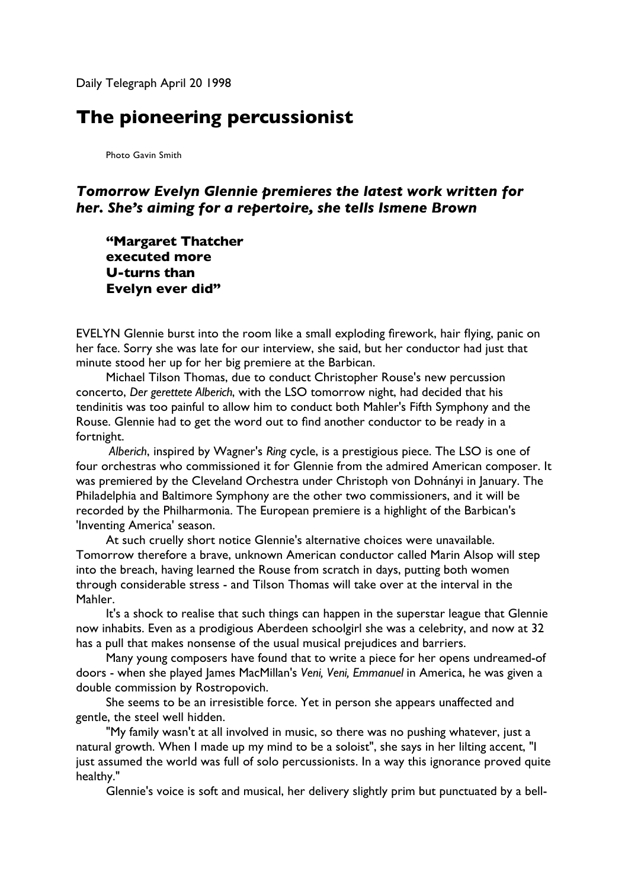Daily Telegraph April 20 1998

## **The pioneering percussionist**

Photo Gavin Smith

## *Tomorrow Evelyn Glennie premieres the latest work written for her. She's aiming for a repertoire, she tells Ismene Brown*

**"Margaret Thatcher executed more U-turns than Evelyn ever did"**

EVELYN Glennie burst into the room like a small exploding firework, hair flying, panic on her face. Sorry she was late for our interview, she said, but her conductor had just that minute stood her up for her big premiere at the Barbican.

Michael Tilson Thomas, due to conduct Christopher Rouse's new percussion concerto, *Der gerettete Alberich*, with the LSO tomorrow night, had decided that his tendinitis was too painful to allow him to conduct both Mahler's Fifth Symphony and the Rouse. Glennie had to get the word out to find another conductor to be ready in a fortnight.

*Alberich*, inspired by Wagner's *Ring* cycle, is a prestigious piece. The LSO is one of four orchestras who commissioned it for Glennie from the admired American composer. It was premiered by the Cleveland Orchestra under Christoph von Dohnányi in January. The Philadelphia and Baltimore Symphony are the other two commissioners, and it will be recorded by the Philharmonia. The European premiere is a highlight of the Barbican's 'Inventing America' season.

At such cruelly short notice Glennie's alternative choices were unavailable. Tomorrow therefore a brave, unknown American conductor called Marin Alsop will step into the breach, having learned the Rouse from scratch in days, putting both women through considerable stress - and Tilson Thomas will take over at the interval in the Mahler.

It's a shock to realise that such things can happen in the superstar league that Glennie now inhabits. Even as a prodigious Aberdeen schoolgirl she was a celebrity, and now at 32 has a pull that makes nonsense of the usual musical prejudices and barriers.

Many young composers have found that to write a piece for her opens undreamed-of doors - when she played James MacMillan's *Veni, Veni, Emmanuel* in America, he was given a double commission by Rostropovich.

She seems to be an irresistible force. Yet in person she appears unaffected and gentle, the steel well hidden.

"My family wasn't at all involved in music, so there was no pushing whatever, just a natural growth. When I made up my mind to be a soloist", she says in her lilting accent, "I just assumed the world was full of solo percussionists. In a way this ignorance proved quite healthy."

Glennie's voice is soft and musical, her delivery slightly prim but punctuated by a bell-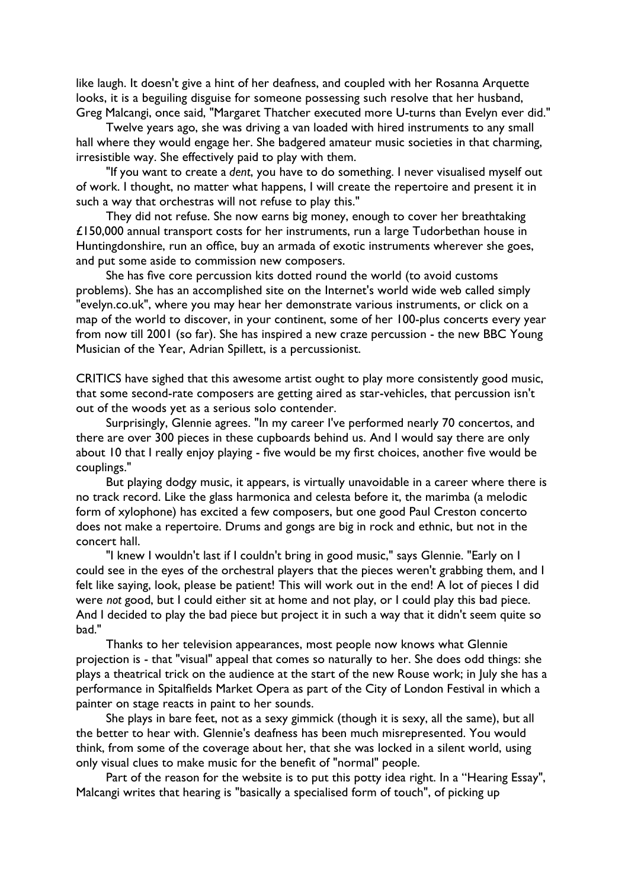like laugh. It doesn't give a hint of her deafness, and coupled with her Rosanna Arquette looks, it is a beguiling disguise for someone possessing such resolve that her husband, Greg Malcangi, once said, "Margaret Thatcher executed more U-turns than Evelyn ever did."

Twelve years ago, she was driving a van loaded with hired instruments to any small hall where they would engage her. She badgered amateur music societies in that charming, irresistible way. She effectively paid to play with them.

"If you want to create a *dent*, you have to do something. I never visualised myself out of work. I thought, no matter what happens, I will create the repertoire and present it in such a way that orchestras will not refuse to play this."

They did not refuse. She now earns big money, enough to cover her breathtaking £150,000 annual transport costs for her instruments, run a large Tudorbethan house in Huntingdonshire, run an office, buy an armada of exotic instruments wherever she goes, and put some aside to commission new composers.

She has five core percussion kits dotted round the world (to avoid customs problems). She has an accomplished site on the Internet's world wide web called simply "evelyn.co.uk", where you may hear her demonstrate various instruments, or click on a map of the world to discover, in your continent, some of her 100-plus concerts every year from now till 2001 (so far). She has inspired a new craze percussion - the new BBC Young Musician of the Year, Adrian Spillett, is a percussionist.

CRITICS have sighed that this awesome artist ought to play more consistently good music, that some second-rate composers are getting aired as star-vehicles, that percussion isn't out of the woods yet as a serious solo contender.

Surprisingly, Glennie agrees. "In my career I've performed nearly 70 concertos, and there are over 300 pieces in these cupboards behind us. And I would say there are only about 10 that I really enjoy playing - five would be my first choices, another five would be couplings."

But playing dodgy music, it appears, is virtually unavoidable in a career where there is no track record. Like the glass harmonica and celesta before it, the marimba (a melodic form of xylophone) has excited a few composers, but one good Paul Creston concerto does not make a repertoire. Drums and gongs are big in rock and ethnic, but not in the concert hall.

"I knew I wouldn't last if I couldn't bring in good music," says Glennie. "Early on I could see in the eyes of the orchestral players that the pieces weren't grabbing them, and I felt like saying, look, please be patient! This will work out in the end! A lot of pieces I did were *not* good, but I could either sit at home and not play, or I could play this bad piece. And I decided to play the bad piece but project it in such a way that it didn't seem quite so bad."

Thanks to her television appearances, most people now knows what Glennie projection is - that "visual" appeal that comes so naturally to her. She does odd things: she plays a theatrical trick on the audience at the start of the new Rouse work; in July she has a performance in Spitalfields Market Opera as part of the City of London Festival in which a painter on stage reacts in paint to her sounds.

She plays in bare feet, not as a sexy gimmick (though it is sexy, all the same), but all the better to hear with. Glennie's deafness has been much misrepresented. You would think, from some of the coverage about her, that she was locked in a silent world, using only visual clues to make music for the benefit of "normal" people.

Part of the reason for the website is to put this potty idea right. In a "Hearing Essay", Malcangi writes that hearing is "basically a specialised form of touch", of picking up